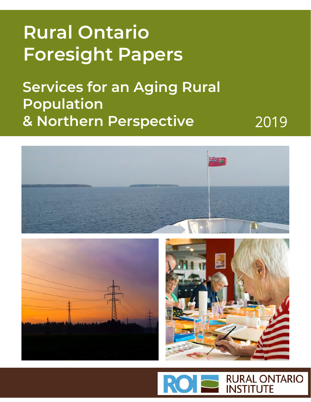# **Rural Ontario Foresight Papers**

**Services for an Aging Rural Population & Northern Perspective**

2019



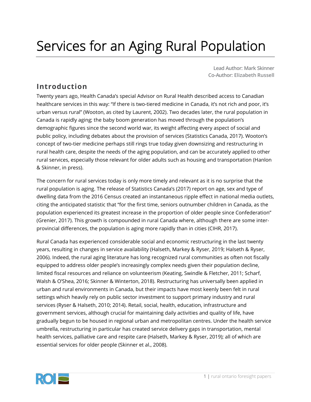# Services for an Aging Rural Population

**Lead Author: Mark Skinner Co-Author: Elizabeth Russell**

## **Introduction**

Twenty years ago, Health Canada's special Advisor on Rural Health described access to Canadian healthcare services in this way: "If there is two-tiered medicine in Canada, it's not rich and poor, it's urban versus rural" (Wooton, as cited by Laurent, 2002). Two decades later, the rural population in Canada is rapidly aging; the baby boom generation has moved through the population's demographic figures since the second world war, its weight affecting every aspect of social and public policy, including debates about the provision of services (Statistics Canada, 2017). Wooton's concept of two-tier medicine perhaps still rings true today given downsizing and restructuring in rural health care, despite the needs of the aging population, and can be accurately applied to other rural services, especially those relevant for older adults such as housing and transportation (Hanlon & Skinner, in press).

The concern for rural services today is only more timely and relevant as it is no surprise that the rural population is aging. The release of Statistics Canada's (2017) report on age, sex and type of dwelling data from the 2016 Census created an instantaneous ripple effect in national media outlets, citing the anticipated statistic that "for the first time, seniors outnumber children in Canada, as the population experienced its greatest increase in the proportion of older people since Confederation" (Grenier, 2017). This growth is compounded in rural Canada where, although there are some interprovincial differences, the population is aging more rapidly than in cities (CIHR, 2017).

Rural Canada has experienced considerable social and economic restructuring in the last twenty years, resulting in changes in service availability (Halseth, Markey & Ryser, 2019; Halseth & Ryser, 2006). Indeed, the rural aging literature has long recognized rural communities as often not fiscally equipped to address older people's increasingly complex needs given their population decline, limited fiscal resources and reliance on volunteerism (Keating, Swindle & Fletcher, 2011; Scharf, Walsh & O'Shea, 2016; Skinner & Winterton, 2018). Restructuring has universally been applied in urban and rural environments in Canada, but their impacts have most keenly been felt in rural settings which heavily rely on public sector investment to support primary industry and rural services (Ryser & Halseth, 2010; 2014). Retail, social, health, education, infrastructure and government services, although crucial for maintaining daily activities and quality of life, have gradually begun to be housed in regional urban and metropolitan centres. Under the health service umbrella, restructuring in particular has created service delivery gaps in transportation, mental health services, palliative care and respite care (Halseth, Markey & Ryser, 2019); all of which are essential services for older people (Skinner et al., 2008).

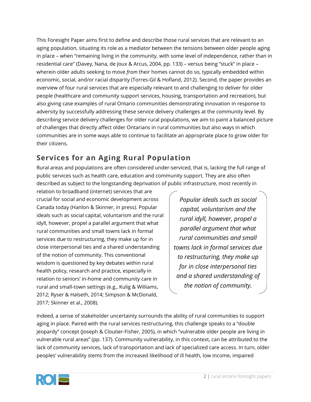This Foresight Paper aims first to define and describe those rural services that are relevant to an aging population, situating its role as a mediator between the tensions between older people aging in place – when "remaining living in the community, with some level of independence, rather than in residential care" (Davey, Nana, de Joux & Arcus, 2004, pp. 133) – versus being "stuck" in place – wherein older adults seeking to move *from* their homes cannot do so, typically embedded within economic, social, and/or racial disparity (Torres-Gil & Hofland, 2012). Second, the paper provides an overview of four rural services that are especially relevant to and challenging to deliver for older people (healthcare and community support services, housing, transportation and recreation), but also giving case examples of rural Ontario communities demonstrating innovation in response to adversity by successfully addressing these service delivery challenges at the community level. By describing service delivery challenges for older rural populations, we aim to paint a balanced picture of challenges that directly affect older Ontarians in rural communities but also ways in which communities are in some ways able to continue to facilitate an appropriate place to grow older for their citizens.

## **Services for an Aging Rural Population**

Rural areas and populations are often considered under-serviced, that is, lacking the full range of public services such as health care, education and community support. They are also often described as subject to the longstanding deprivation of public infrastructure, most recently in

relation to broadband (internet) services that are crucial for social and economic development across Canada today (Hanlon & Skinner, in press). Popular ideals such as social capital, voluntarism and the rural idyll, however, propel a parallel argument that what rural communities and small towns lack in formal services due to restructuring, they make up for in close interpersonal ties and a shared understanding of the notion of community. This conventional wisdom is questioned by key debates within rural health policy, research and practice, especially in relation to seniors' in-home and community care in rural and small-town settings (e.g., Kulig & Williams, 2012; Ryser & Halseth, 2014; Simpson & McDonald, 2017; Skinner et al., 2008).

*Popular ideals such as social capital, voluntarism and the rural idyll, however, propel a parallel argument that what rural communities and small towns lack in formal services due to restructuring, they make up for in close interpersonal ties and a shared understanding of the notion of community.*

Indeed, a sense of stakeholder uncertainty surrounds the ability of rural communities to support aging in place. Paired with the rural services restructuring, this challenge speaks to a "double jeopardy" concept (Joseph & Cloutier-Fisher, 2005), in which "vulnerable older people are living in vulnerable rural areas" (pp. 137). Community vulnerability, in this context, can be attributed to the lack of community services, lack of transportation and lack of specialized care access. In turn, older peoples' vulnerability stems from the increased likelihood of ill health, low income, impaired

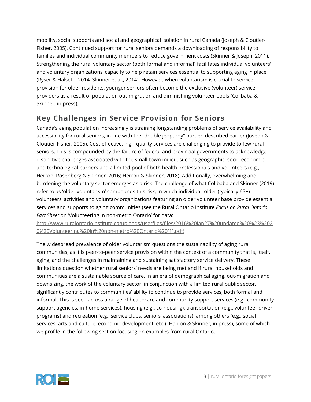mobility, social supports and social and geographical isolation in rural Canada (Joseph & Cloutier-Fisher, 2005). Continued support for rural seniors demands a downloading of responsibility to families and individual community members to reduce government costs (Skinner & Joseph, 2011). Strengthening the rural voluntary sector (both formal and informal) facilitates individual volunteers' and voluntary organizations' capacity to help retain services essential to supporting aging in place (Ryser & Halseth, 2014; Skinner et al., 2014). However, when voluntarism is crucial to service provision for older residents, younger seniors often become the exclusive (volunteer) service providers as a result of population out-migration and diminishing volunteer pools (Colibaba & Skinner, in press).

## **Key Challenges in Service Provision for Seniors**

Canada's aging population increasingly is straining longstanding problems of service availability and accessibility for rural seniors, in line with the "double jeopardy" burden described earlier (Joseph & Cloutier-Fisher, 2005). Cost-effective, high-quality services are challenging to provide to few rural seniors. This is compounded by the failure of federal and provincial governments to acknowledge distinctive challenges associated with the small-town milieu, such as geographic, socio-economic and technological barriers and a limited pool of both health professionals and volunteers (e.g., Herron, Rosenberg & Skinner, 2016; Herron & Skinner, 2018). Additionally, overwhelming and burdening the voluntary sector emerges as a risk. The challenge of what Colibaba and Skinner (2019) refer to as 'older voluntarism' compounds this risk, in which individual, older (typically 65+) volunteers' activities and voluntary organizations featuring an older volunteer base provide essential services and supports to aging communities (see the Rural Ontario Institute *Focus on Rural Ontario Fact Sheet* on 'Volunteering in non-metro Ontario' for data:

[http://www.ruralontarioinstitute.ca/uploads/userfiles/files/2016%20Jan27%20updated%20%23%202](http://www.ruralontarioinstitute.ca/uploads/userfiles/files/2016%20Jan27%20updated%20%23%2020%20Volunteering%20in%20non-metro%20Ontario%20(1).pdf)) [0%20Volunteering%20in%20non-metro%20Ontario%20\(1\).pdf\)](http://www.ruralontarioinstitute.ca/uploads/userfiles/files/2016%20Jan27%20updated%20%23%2020%20Volunteering%20in%20non-metro%20Ontario%20(1).pdf))

The widespread prevalence of older voluntarism questions the sustainability of aging rural communities, as it is peer-to-peer service provision within the context of a community that is, itself, aging, and the challenges in maintaining and sustaining satisfactory service delivery. These limitations question whether rural seniors' needs are being met and if rural households and communities are a sustainable source of care. In an era of demographical aging, out-migration and downsizing, the work of the voluntary sector, in conjunction with a limited rural public sector, significantly contributes to communities' ability to continue to provide services, both formal and informal. This is seen across a range of healthcare and community support services (e.g., community support agencies, in-home services), housing (e.g., co-housing), transportation (e.g., volunteer driver programs) and recreation (e.g., service clubs, seniors' associations), among others (e.g., social services, arts and culture, economic development, etc.) (Hanlon & Skinner, in press), some of which we profile in the following section focusing on examples from rural Ontario.

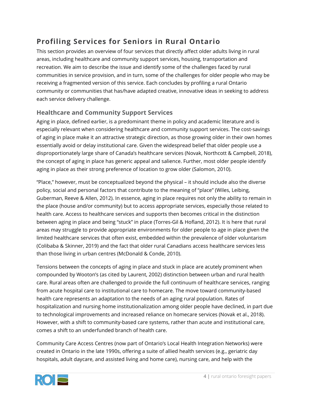## **Profiling Services for Seniors in Rural Ontario**

This section provides an overview of four services that directly affect older adults living in rural areas, including healthcare and community support services, housing, transportation and recreation. We aim to describe the issue and identify some of the challenges faced by rural communities in service provision, and in turn, some of the challenges for older people who may be receiving a fragmented version of this service. Each concludes by profiling a rural Ontario community or communities that has/have adapted creative, innovative ideas in seeking to address each service delivery challenge.

### **Healthcare and Community Support Services**

Aging in place, defined earlier, is a predominant theme in policy and academic literature and is especially relevant when considering healthcare and community support services. The cost-savings of aging in place make it an attractive strategic direction, as those growing older in their own homes essentially avoid or delay institutional care. Given the widespread belief that older people use a disproportionately large share of Canada's healthcare services (Novak, Northcott & Campbell, 2018), the concept of aging in place has generic appeal and salience. Further, most older people identify aging in place as their strong preference of location to grow older (Salomon, 2010).

"Place," however, must be conceptualized beyond the physical – it should include also the diverse policy, social and personal factors that contribute to the meaning of "place" (Wiles, Leibing, Guberman, Reeve & Allen, 2012). In essence, aging in place requires not only the ability to remain in the place (house and/or community) but to access appropriate services, especially those related to health care. Access to healthcare services and supports then becomes critical in the distinction between aging in place and being "stuck" in place (Torres-Gil & Hofland, 2012). It is here that rural areas may struggle to provide appropriate environments for older people to age in place given the limited healthcare services that often exist, embedded within the prevalence of older voluntarism (Colibaba & Skinner, 2019) and the fact that older rural Canadians access healthcare services less than those living in urban centres (McDonald & Conde, 2010).

Tensions between the concepts of aging in place and stuck in place are acutely prominent when compounded by Wooton's (as cited by Laurent, 2002) distinction between urban and rural health care. Rural areas often are challenged to provide the full continuum of healthcare services, ranging from acute hospital care to institutional care to homecare. The move toward community-based health care represents an adaptation to the needs of an aging rural population. Rates of hospitalization and nursing home institutionalization among older people have declined, in part due to technological improvements and increased reliance on homecare services (Novak et al., 2018). However, with a shift to community-based care systems, rather than acute and institutional care, comes a shift to an underfunded branch of health care.

Community Care Access Centres (now part of Ontario's Local Health Integration Networks) were created in Ontario in the late 1990s, offering a suite of allied health services (e.g., geriatric day hospitals, adult daycare, and assisted living and home care), nursing care, and help with the

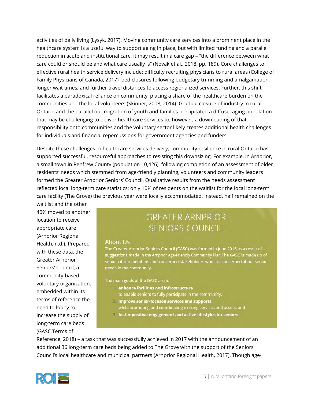activities of daily living (Lysyk, 2017). Moving community care services into a prominent place in the healthcare system is a useful way to support aging in place, but with limited funding and a parallel reduction in acute and institutional care, it may result in a care gap – "the difference between what care could or should be and what care usually is" (Novak et al., 2018, pp. 189). Core challenges to effective rural health service delivery include: difficulty recruiting physicians to rural areas (College of Family Physicians of Canada, 2017); bed closures following budgetary trimming and amalgamation; longer wait times; and further travel distances to access regionalized services. Further, this shift facilitates a paradoxical reliance on community, placing a share of the healthcare burden on the communities and the local volunteers (Skinner, 2008; 2014). Gradual closure of industry in rural Ontario and the parallel out-migration of youth and families precipitated a diffuse, aging population that may be challenging to deliver healthcare services to, however, a downloading of that responsibility onto communities and the voluntary sector likely creates additional health challenges for individuals and financial repercussions for government agencies and funders.

Despite these challenges to healthcare services delivery, community resilience in rural Ontario has supported successful, resourceful approaches to resisting this downsizing. For example, in Arnprior, a small town in Renfrew County (population 10,426), following completion of an assessment of older residents' needs which stemmed from age-friendly planning, volunteers and community leaders formed the Greater Arnprior Seniors' Council. Qualitative results from the needs assessment reflected local long-term care statistics: only 10% of residents on the waitlist for the local long-term care facility (The Grove) the previous year were locally accommodated. Instead, half remained on the

waitlist and the other 40% moved to another location to receive appropriate care (Arnprior Regional Health, n.d.). Prepared with these data, the Greater Arnprior Seniors' Council, a community-based voluntary organization, embedded within its terms of reference the need to lobby to increase the supply of long-term care beds (GASC Terms of

## **GREATER ARNPRIOR** SENIORS COUNCIL

### About Us

The Greater Arnprior Seniors Council (GASC) was formed in June 2016 as a result of suggestions made in the Arnprior Age-Friendly Community Plan. The GASC is made up of senior citizen members and concerned stakeholders who are concerned about senior needs in the community.

The main goals of the GASC are to

- enhance facilities and infrastructure
	- to enable seniors to fully participate in the community,
- 2 improve senior-focused services and supports while promoting and coordinating existing services and assets, and
- 3. foster positive engagement and active lifestyles for seniors.

Reference, 2018) – a task that was successfully achieved in 2017 with the announcement of an additional 36 long-term care beds being added to The Grove with the support of the Seniors' Council's local healthcare and municipal partners (Arnprior Regional Health, 2017). Though age-

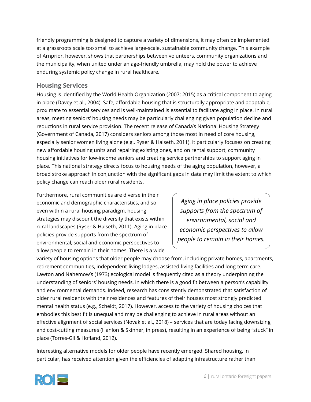friendly programming is designed to capture a variety of dimensions, it may often be implemented at a grassroots scale too small to achieve large-scale, sustainable community change. This example of Arnprior, however, shows that partnerships between volunteers, community organizations and the municipality, when united under an age-friendly umbrella, may hold the power to achieve enduring systemic policy change in rural healthcare.

### **Housing Services**

Housing is identified by the World Health Organization (2007; 2015) as a critical component to aging in place (Davey et al., 2004). Safe, affordable housing that is structurally appropriate and adaptable, proximate to essential services and is well-maintained is essential to facilitate aging in place. In rural areas, meeting seniors' housing needs may be particularly challenging given population decline and reductions in rural service provision. The recent release of Canada's National Housing Strategy (Government of Canada, 2017) considers seniors among those most in need of core housing, especially senior women living alone (e.g., Ryser & Halseth, 2011). It particularly focuses on creating new affordable housing units and repairing existing ones, and on rental support, community housing initiatives for low-income seniors and creating service partnerships to support aging in place. This national strategy directs focus to housing needs of the aging population, however, a broad stroke approach in conjunction with the significant gaps in data may limit the extent to which policy change can reach older rural residents.

Furthermore, rural communities are diverse in their economic and demographic characteristics, and so even within a rural housing paradigm, housing strategies may discount the diversity that exists within rural landscapes (Ryser & Halseth, 2011). Aging in place policies provide supports from the spectrum of environmental, social and economic perspectives to allow people to remain in their homes. There is a wide

*Aging in place policies provide supports from the spectrum of environmental, social and economic perspectives to allow people to remain in their homes.*

variety of housing options that older people may choose from, including private homes, apartments, retirement communities, independent-living lodges, assisted-living facilities and long-term care. Lawton and Nahemow's (1973) ecological model is frequently cited as a theory underpinning the understanding of seniors' housing needs, in which there is a good fit between a person's capability and environmental demands. Indeed, research has consistently demonstrated that satisfaction of older rural residents with their residences and features of their houses most strongly predicted mental health status (e.g., Scheidt, 2017). However, access to the variety of housing choices that embodies this best fit is unequal and may be challenging to achieve in rural areas without an effective alignment of social services (Novak et al., 2018) – services that are today facing downsizing and cost-cutting measures (Hanlon & Skinner, in press), resulting in an experience of being "stuck" in place (Torres-Gil & Hofland, 2012).

Interesting alternative models for older people have recently emerged. Shared housing, in particular, has received attention given the efficiencies of adapting infrastructure rather than

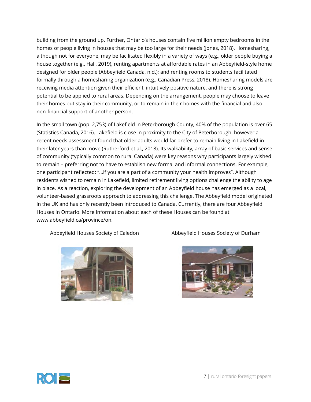building from the ground up. Further, Ontario's houses contain five million empty bedrooms in the homes of people living in houses that may be too large for their needs (Jones, 2018). Homesharing, although not for everyone, may be facilitated flexibly in a variety of ways (e.g., older people buying a house together (e.g., Hall, 2019), renting apartments at affordable rates in an Abbeyfield-style home designed for older people (Abbeyfield Canada, n.d.); and renting rooms to students facilitated formally through a homesharing organization (e.g., Canadian Press, 2018). Homesharing models are receiving media attention given their efficient, intuitively positive nature, and there is strong potential to be applied to rural areas. Depending on the arrangement, people may choose to leave their homes but stay in their community, or to remain in their homes with the financial and also non-financial support of another person.

In the small town (pop. 2,753) of Lakefield in Peterborough County, 40% of the population is over 65 (Statistics Canada, 2016). Lakefield is close in proximity to the City of Peterborough, however a recent needs assessment found that older adults would far prefer to remain living in Lakefield in their later years than move (Rutherford et al., 2018). Its walkability, array of basic services and sense of community (typically common to rural Canada) were key reasons why participants largely wished to remain – preferring not to have to establish new formal and informal connections. For example, one participant reflected: "…if you are a part of a community your health improves". Although residents wished to remain in Lakefield, limited retirement living options challenge the ability to age in place. As a reaction, exploring the development of an Abbeyfield house has emerged as a local, volunteer-based grassroots approach to addressing this challenge. The Abbeyfield model originated in the UK and has only recently been introduced to Canada. Currently, there are four Abbeyfield Houses in Ontario. More information about each of these Houses can be found at www.abbeyfield.ca/province/on.



Abbeyfield Houses Society of Caledon Abbeyfield Houses Society of Durham



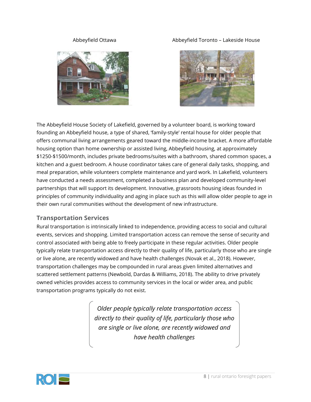

### Abbeyfield Ottawa Abbeyfield Toronto – Lakeside House



The Abbeyfield House Society of Lakefield, governed by a volunteer board, is working toward founding an Abbeyfield house, a type of shared, 'family-style' rental house for older people that offers communal living arrangements geared toward the middle-income bracket. A more affordable housing option than home ownership or assisted living, Abbeyfield housing, at approximately \$1250-\$1500/month, includes private bedrooms/suites with a bathroom, shared common spaces, a kitchen and a guest bedroom. A house coordinator takes care of general daily tasks, shopping, and meal preparation, while volunteers complete maintenance and yard work. In Lakefield, volunteers have conducted a needs assessment, completed a business plan and developed community-level partnerships that will support its development. Innovative, grassroots housing ideas founded in principles of community individuality and aging in place such as this will allow older people to age in their own rural communities without the development of new infrastructure.

### **Transportation Services**

Rural transportation is intrinsically linked to independence, providing access to social and cultural events, services and shopping. Limited transportation access can remove the sense of security and control associated with being able to freely participate in these regular activities. Older people typically relate transportation access directly to their quality of life, particularly those who are single or live alone, are recently widowed and have health challenges (Novak et al., 2018). However, transportation challenges may be compounded in rural areas given limited alternatives and scattered settlement patterns (Newbold, Dardas & Williams, 2018). The ability to drive privately owned vehicles provides access to community services in the local or wider area, and public transportation programs typically do not exist.

> *Older people typically relate transportation access directly to their quality of life, particularly those who are single or live alone, are recently widowed and have health challenges*

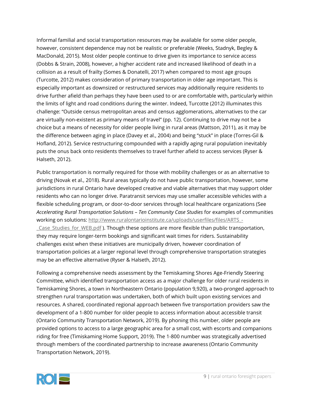Informal familial and social transportation resources may be available for some older people, however, consistent dependence may not be realistic or preferable (Weeks, Stadnyk, Begley & MacDonald, 2015). Most older people continue to drive given its importance to service access (Dobbs & Strain, 2008), however, a higher accident rate and increased likelihood of death in a collision as a result of frailty (Somes & Donatelli, 2017) when compared to most age groups (Turcotte, 2012) makes consideration of primary transportation in older age important. This is especially important as downsized or restructured services may additionally require residents to drive further afield than perhaps they have been used to or are comfortable with, particularly within the limits of light and road conditions during the winter. Indeed, Turcotte (2012) illuminates this challenge: "Outside census metropolitan areas and census agglomerations, alternatives to the car are virtually non-existent as primary means of travel" (pp. 12). Continuing to drive may not be a choice but a means of necessity for older people living in rural areas (Mattson, 2011), as it may be the difference between aging in place (Davey et al., 2004) and being "stuck" in place (Torres-Gil & Hofland, 2012). Service restructuring compounded with a rapidly aging rural population inevitably puts the onus back onto residents themselves to travel further afield to access services (Ryser & Halseth, 2012).

Public transportation is normally required for those with mobility challenges or as an alternative to driving (Novak et al., 2018). Rural areas typically do not have public transportation, however, some jurisdictions in rural Ontario have developed creative and viable alternatives that may support older residents who can no longer drive. Paratransit services may use smaller accessible vehicles with a flexible scheduling program, or door-to-door services through local healthcare organizations (See *Accelerating Rural Transportation Solutions – Ten Community Case Studies* for examples of communities working on solutions: [http://www.ruralontarioinstitute.ca/uploads/userfiles/files/ARTS\\_-](http://www.ruralontarioinstitute.ca/uploads/userfiles/files/ARTS_-_Case_Studies_for_WEB.pdf) [\\_Case\\_Studies\\_for\\_WEB.pdf](http://www.ruralontarioinstitute.ca/uploads/userfiles/files/ARTS_-_Case_Studies_for_WEB.pdf) ). Though these options are more flexible than public transportation, they may require longer-term bookings and significant wait times for riders. Sustainability challenges exist when these initiatives are municipally driven, however coordination of transportation policies at a larger regional level through comprehensive transportation strategies may be an effective alternative (Ryser & Halseth, 2012).

Following a comprehensive needs assessment by the Temiskaming Shores Age-Friendly Steering Committee, which identified transportation access as a major challenge for older rural residents in Temiskaming Shores, a town in Northeastern Ontario (population 9,920), a two-pronged approach to strengthen rural transportation was undertaken, both of which built upon existing services and resources. A shared, coordinated regional approach between five transportation providers saw the development of a 1-800 number for older people to access information about accessible transit (Ontario Community Transportation Network, 2019). By phoning this number, older people are provided options to access to a large geographic area for a small cost, with escorts and companions riding for free (Timiskaming Home Support, 2019). The 1-800 number was strategically advertised through members of the coordinated partnership to increase awareness (Ontario Community Transportation Network, 2019).

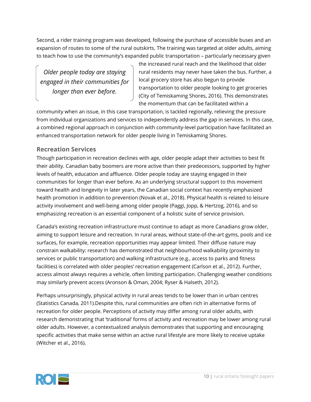Second, a rider training program was developed, following the purchase of accessible buses and an expansion of routes to some of the rural outskirts. The training was targeted at older adults, aiming to teach how to use the community's expanded public transportation – particularly necessary given

*Older people today are staying engaged in their communities for longer than ever before.*

the increased rural reach and the likelihood that older rural residents may never have taken the bus. Further, a local grocery store has also begun to provide transportation to older people looking to get groceries (City of Temiskaming Shores, 2016). This demonstrates the momentum that can be facilitated within a

community when an issue, in this case transportation, is tackled regionally, relieving the pressure from individual organizations and services to independently address the gap in services. In this case, a combined regional approach in conjunction with community-level participation have facilitated an enhanced transportation network for older people living in Temiskaming Shores.

### **Recreation Services**

Though participation in recreation declines with age, older people adapt their activities to best fit their ability. Canadian baby boomers are more active than their predecessors, supported by higher levels of health, education and affluence. Older people today are staying engaged in their communities for longer than ever before. As an underlying structural support to this movement toward health and longevity in later years, the Canadian social context has recently emphasized health promotion in addition to prevention (Novak et al., 2018). Physical health is related to leisure activity involvement and well-being among older people (Paggi, Jopp, & Hertzog, 2016), and so emphasizing recreation is an essential component of a holistic suite of service provision.

Canada's existing recreation infrastructure must continue to adapt as more Canadians grow older, aiming to support leisure and recreation. In rural areas, without state-of-the-art gyms, pools and ice surfaces, for example, recreation opportunities may appear limited. Their diffuse nature may constrain walkability: research has demonstrated that neighbourhood walkability (proximity to services or public transportation) and walking infrastructure (e.g., access to parks and fitness facilities) is correlated with older peoples' recreation engagement (Carlson et al., 2012). Further, access almost always requires a vehicle, often limiting participation. Challenging weather conditions may similarly prevent access (Aronson & Oman, 2004; Ryser & Halseth, 2012).

Perhaps unsurprisingly, physical activity in rural areas tends to be lower than in urban centres (Statistics Canada, 2011).Despite this, rural communities are often rich in alternative forms of recreation for older people. Perceptions of activity may differ among rural older adults, with research demonstrating that 'traditional' forms of activity and recreation may be lower among rural older adults. However, a contextualized analysis demonstrates that supporting and encouraging specific activities that make sense within an active rural lifestyle are more likely to receive uptake (Witcher et al., 2016).

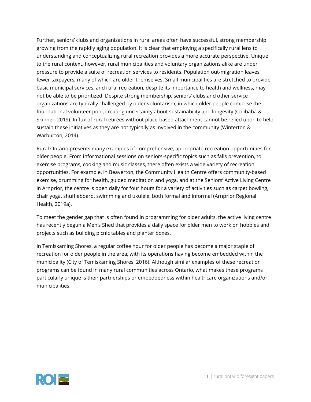Further, seniors' clubs and organizations in rural areas often have successful, strong membership growing from the rapidly aging population. It is clear that employing a specifically rural lens to understanding and conceptualizing rural recreation provides a more accurate perspective. Unique to the rural context, however, rural municipalities and voluntary organizations alike are under pressure to provide a suite of recreation services to residents. Population out-migration leaves fewer taxpayers, many of which are older themselves. Small municipalities are stretched to provide basic municipal services, and rural recreation, despite its importance to health and wellness, may not be able to be prioritized. Despite strong membership, seniors' clubs and other service organizations are typically challenged by older voluntarism, in which older people comprise the foundational volunteer pool, creating uncertainty about sustainability and longevity (Colibaba & Skinner, 2019). Influx of rural retirees without place-based attachment cannot be relied upon to help sustain these initiatives as they are not typically as involved in the community (Winterton & Warburton, 2014).

Rural Ontario presents many examples of comprehensive, appropriate recreation opportunities for older people. From informational sessions on seniors-specific topics such as falls prevention, to exercise programs, cooking and music classes, there often exists a wide variety of recreation opportunities. For example, in Beaverton, the Community Health Centre offers community-based exercise, drumming for health, guided meditation and yoga, and at the Seniors' Active Living Centre in Arnprior, the centre is open daily for four hours for a variety of activities such as carpet bowling, chair yoga, shuffleboard, swimming and ukulele, both formal and informal (Arnprior Regional Health, 2019a).

To meet the gender gap that is often found in programming for older adults, the active living centre has recently begun a Men's Shed that provides a daily space for older men to work on hobbies and projects such as building picnic tables and planter boxes.

In Temiskaming Shores, a regular coffee hour for older people has become a major staple of recreation for older people in the area, with its operations having become embedded within the municipality (City of Temiskaming Shores, 2016). Although similar examples of these recreation programs can be found in many rural communities across Ontario, what makes these programs particularly unique is their partnerships or embeddedness within healthcare organizations and/or municipalities.

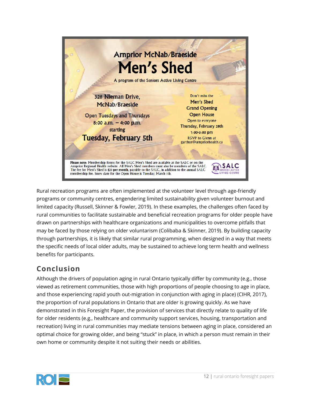

Rural recreation programs are often implemented at the volunteer level through age-friendly programs or community centres, engendering limited sustainability given volunteer burnout and limited capacity (Russell, Skinner & Fowler, 2019). In these examples, the challenges often faced by rural communities to facilitate sustainable and beneficial recreation programs for older people have drawn on partnerships with healthcare organizations and municipalities to overcome pitfalls that may be faced by those relying on older voluntarism (Colibaba & Skinner, 2019). By building capacity through partnerships, it is likely that similar rural programming, when designed in a way that meets the specific needs of local older adults, may be sustained to achieve long term health and wellness benefits for participants.

## **Conclusion**

Although the drivers of population aging in rural Ontario typically differ by community (e.g., those viewed as retirement communities, those with high proportions of people choosing to age in place, and those experiencing rapid youth out-migration in conjunction with aging in place) (CIHR, 2017), the proportion of rural populations in Ontario that are older is growing quickly. As we have demonstrated in this Foresight Paper, the provision of services that directly relate to quality of life for older residents (e.g., healthcare and community support services, housing, transportation and recreation) living in rural communities may mediate tensions between aging in place, considered an optimal choice for growing older, and being "stuck" in place, in which a person must remain in their own home or community despite it not suiting their needs or abilities.

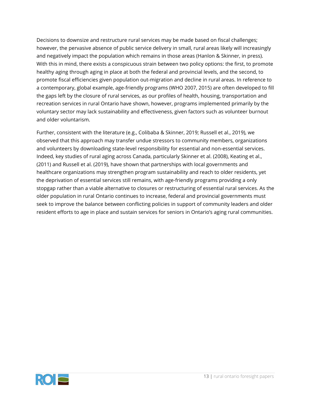Decisions to downsize and restructure rural services may be made based on fiscal challenges; however, the pervasive absence of public service delivery in small, rural areas likely will increasingly and negatively impact the population which remains in those areas (Hanlon & Skinner, in press). With this in mind, there exists a conspicuous strain between two policy options: the first, to promote healthy aging through aging in place at both the federal and provincial levels, and the second, to promote fiscal efficiencies given population out-migration and decline in rural areas. In reference to a contemporary, global example, age-friendly programs (WHO 2007, 2015) are often developed to fill the gaps left by the closure of rural services, as our profiles of health, housing, transportation and recreation services in rural Ontario have shown, however, programs implemented primarily by the voluntary sector may lack sustainability and effectiveness, given factors such as volunteer burnout and older voluntarism.

Further, consistent with the literature (e.g., Colibaba & Skinner, 2019; Russell et al., 2019), we observed that this approach may transfer undue stressors to community members, organizations and volunteers by downloading state-level responsibility for essential and non-essential services. Indeed, key studies of rural aging across Canada, particularly Skinner et al. (2008), Keating et al., (2011) and Russell et al. (2019), have shown that partnerships with local governments and healthcare organizations may strengthen program sustainability and reach to older residents, yet the deprivation of essential services still remains, with age-friendly programs providing a only stopgap rather than a viable alternative to closures or restructuring of essential rural services. As the older population in rural Ontario continues to increase, federal and provincial governments must seek to improve the balance between conflicting policies in support of community leaders and older resident efforts to age in place and sustain services for seniors in Ontario's aging rural communities.

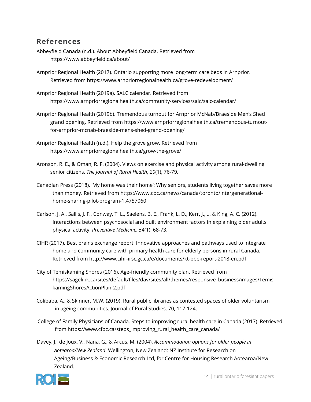### **References**

- Abbeyfield Canada (n.d.). About Abbeyfield Canada. Retrieved from https://www.abbeyfield.ca/about/
- Arnprior Regional Health (2017). Ontario supporting more long-term care beds in Arnprior. Retrieved from https://www.arnpriorregionalhealth.ca/grove-redevelopment/
- Arnprior Regional Health (2019a). SALC calendar. Retrieved from https://www.arnpriorregionalhealth.ca/community-services/salc/salc-calendar/
- Arnprior Regional Health (2019b). Tremendous turnout for Arnprior McNab/Braeside Men's Shed grand opening. Retrieved from https://www.arnpriorregionalhealth.ca/tremendous-turnoutfor-arnprior-mcnab-braeside-mens-shed-grand-opening/
- Arnprior Regional Health (n.d.). Help the grove grow. Retrieved from https://www.arnpriorregionalhealth.ca/grow-the-grove/
- Aronson, R. E., & Oman, R. F. (2004). Views on exercise and physical activity among rural‐dwelling senior citizens. *The Journal of Rural Health*, *20*(1), 76-79.
- Canadian Press (2018). 'My home was their home': Why seniors, students living together saves more than money. Retrieved from https://www.cbc.ca/news/canada/toronto/intergenerationalhome-sharing-pilot-program-1.4757060
- Carlson, J. A., Sallis, J. F., Conway, T. L., Saelens, B. E., Frank, L. D., Kerr, J., ... & King, A. C. (2012). Interactions between psychosocial and built environment factors in explaining older adults' physical activity. *Preventive Medicine*, *54*(1), 68-73.
- CIHR (2017). Best brains exchange report: Innovative approaches and pathways used to integrate home and community care with primary health care for elderly persons in rural Canada. Retrieved from http://www.cihr-irsc.gc.ca/e/documents/kt-bbe-report-2018-en.pdf
- City of Temiskaming Shores (2016). Age-friendly community plan. Retrieved from https://sagelink.ca/sites/default/files/dav/sites/all/themes/responsive\_business/images/Temis kamingShoresActionPlan-2.pdf
- Colibaba, A., & Skinner, M.W. (2019). Rural public libraries as contested spaces of older voluntarism in ageing communities. Journal of Rural Studies, 70, 117-124.
- College of Family Physicians of Canada. Steps to improving rural health care in Canada (2017). Retrieved from https://www.cfpc.ca/steps\_improving\_rural\_health\_care\_canada/
- Davey, J., de Joux, V., Nana, G., & Arcus, M. (2004). *Accommodation options for older people in Aotearoa/New Zealand*. Wellington, New Zealand: NZ Institute for Research on Ageing/Business & Economic Research Ltd, for Centre for Housing Research Aotearoa/New Zealand.

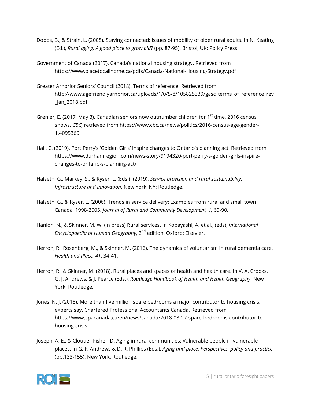- Dobbs, B., & Strain, L. (2008). Staying connected: Issues of mobility of older rural adults. In N. Keating (Ed.), *Rural aging: A good place to grow old?* (pp. 87-95). Bristol, UK: Policy Press.
- Government of Canada (2017). Canada's national housing strategy. Retrieved from https://www.placetocallhome.ca/pdfs/Canada-National-Housing-Strategy.pdf
- Greater Arnprior Seniors' Council (2018). Terms of reference. Retrieved from http://www.agefriendlyarnprior.ca/uploads/1/0/5/8/105825339/gasc\_terms\_of\_reference\_rev \_jan\_2018.pdf
- Grenier, E. (2017, May 3). Canadian seniors now outnumber children for  $1<sup>st</sup>$  time, 2016 census shows. *CBC,* retrieved from https://www.cbc.ca/news/politics/2016-census-age-gender-1.4095360
- Hall, C. (2019). Port Perry's 'Golden Girls' inspire changes to Ontario's planning act. Retrieved from https://www.durhamregion.com/news-story/9194320-port-perry-s-golden-girls-inspirechanges-to-ontario-s-planning-act/
- Halseth, G., Markey, S., & Ryser, L. (Eds.). (2019). *Service provision and rural sustainability: Infrastructure and innovation*. New York, NY: Routledge.
- Halseth, G., & Ryser, L. (2006). Trends in service delivery: Examples from rural and small town Canada, 1998-2005. *Journal of Rural and Community Development, 1,* 69-90.
- Hanlon, N., & Skinner, M. W. (in press) Rural services. In Kobayashi, A. et al., (eds), *International Encyclopaedia of Human Geography*, 2<sup>nd</sup> edition, Oxford: Elsevier.
- Herron, R., Rosenberg, M., & Skinner, M. (2016). The dynamics of voluntarism in rural dementia care. *Health and Place, 41*, 34-41.
- Herron, R., & Skinner, M. (2018). Rural places and spaces of health and health care. In V. A. Crooks, G. J. Andrews, & J. Pearce (Eds.), *Routledge Handbook of Health and Health Geography*. New York: Routledge.
- Jones, N. J. (2018). More than five million spare bedrooms a major contributor to housing crisis, experts say. Chartered Professional Accountants Canada. Retrieved from https://www.cpacanada.ca/en/news/canada/2018-08-27-spare-bedrooms-contributor-tohousing-crisis
- Joseph, A. E., & Cloutier-Fisher, D. Aging in rural communities: Vulnerable people in vulnerable places. In G. F. Andrews & D. R. Phillips (Eds.), *Aging and place: Perspectives, policy and practice* (pp.133-155). New York: Routledge.

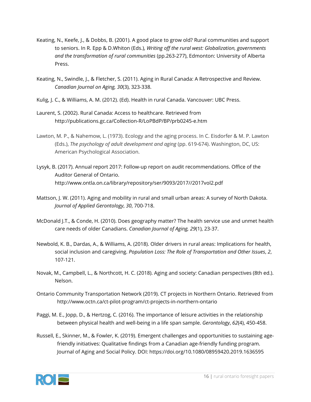- Keating, N., Keefe, J., & Dobbs, B. (2001). A good place to grow old? Rural communities and support to seniors. In R. Epp & D.Whiton (Eds.), *Writing off the rural west: Globalization, governments and the transformation of rural communities* (pp.263-277), Edmonton: University of Alberta Press.
- Keating, N., Swindle, J., & Fletcher, S. (2011). Aging in Rural Canada: A Retrospective and Review. *Canadian Journal on Aging, 30*(3), 323-338.
- Kulig, J. C., & Williams, A. M. (2012). (Ed). Health in rural Canada. Vancouver: UBC Press.
- Laurent, S. (2002). Rural Canada: Access to healthcare. Retrieved from http://publications.gc.ca/Collection-R/LoPBdP/BP/prb0245-e.htm
- Lawton, M. P., & Nahemow, L. (1973). Ecology and the aging process. In C. Eisdorfer & M. P. Lawton (Eds.), *The psychology of adult development and aging* (pp. 619-674). Washington, DC, US: American Psychological Association.
- Lysyk, B. (2017). Annual report 2017: Follow-up report on audit recommendations. Office of the Auditor General of Ontario. http://www.ontla.on.ca/library/repository/ser/9093/2017//2017vol2.pdf
- Mattson, J. W. (2011). Aging and mobility in rural and small urban areas: A survey of North Dakota. *Journal of Applied Gerontology*, *30*, 700-718.
- McDonald J.T., & Conde, H. (2010). Does geography matter? The health service use and unmet health care needs of older Canadians. *Canadian Journal of Aging, 29*(1), 23-37.
- Newbold, K. B., Dardas, A., & Williams, A. (2018). Older drivers in rural areas: Implications for health, social inclusion and caregiving. *Population Loss: The Role of Transportation and Other Issues*, *2*, 107-121.
- Novak, M., Campbell, L., & Northcott, H. C. (2018). Aging and society: Canadian perspectives (8th ed.). Nelson.
- Ontario Community Transportation Network (2019). CT projects in Northern Ontario. Retrieved from http://www.octn.ca/ct-pilot-program/ct-projects-in-northern-ontario
- Paggi, M. E., Jopp, D., & Hertzog, C. (2016). The importance of leisure activities in the relationship between physical health and well-being in a life span sample. *Gerontology*, *62*(4), 450-458.
- Russell, E., Skinner, M., & Fowler, K. (2019). Emergent challenges and opportunities to sustaining agefriendly initiatives: Qualitative findings from a Canadian age-friendly funding program. Journal of Aging and Social Policy. DOI: https://doi.org/10.1080/08959420.2019.1636595

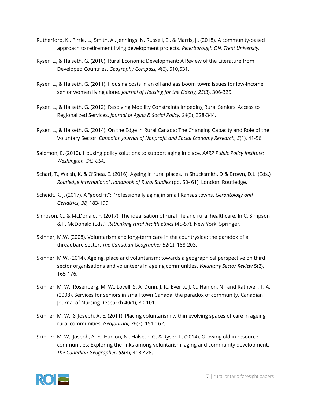- Rutherford, K., Pirrie, L., Smith, A., Jennings, N. Russell, E., & Marris, J., (2018). A community-based approach to retirement living development projects. *Peterborough ON, Trent University.*
- Ryser, L., & Halseth, G. (2010). Rural Economic Development: A Review of the Literature from Developed Countries. *Geography Compass, 4*(6), 510,531.
- Ryser, L., & Halseth, G. (2011). Housing costs in an oil and gas boom town: Issues for low-income senior women living alone. *Journal of Housing for the Elderly, 25*(3), 306-325.
- Ryser, L., & Halseth, G. (2012). Resolving Mobility Constraints Impeding Rural Seniors' Access to Regionalized Services. *Journal of Aging & Social Policy, 24*(3), 328-344.
- Ryser, L., & Halseth, G. (2014). On the Edge in Rural Canada: The Changing Capacity and Role of the Voluntary Sector. *Canadian Journal of Nonprofit and Social Economy Research, 5*(1), 41-56.
- Salomon, E. (2010). Housing policy solutions to support aging in place. *AARP Public Policy Institute: Washington, DC, USA*.
- Scharf, T., Walsh, K. & O'Shea, E. (2016). Ageing in rural places. In Shucksmith, D & Brown, D.L. (Eds.) *Routledge International Handbook of Rural Studies* (pp. 50- 61). London: Routledge.
- Scheidt, R. J. (2017). A "good fit": Professionally aging in small Kansas towns. *Gerontology and Geriatrics, 38,* 183-199.
- Simpson, C., & McDonald, F. (2017). The idealisation of rural life and rural healthcare. In C. Simpson & F. McDonald (Eds.), *Rethinking rural health ethics* (45-57). New York: Springer.
- Skinner, M.W. (2008). Voluntarism and long-term care in the countryside: the paradox of a threadbare sector. *The Canadian Geographer* 52(2), 188-203.
- Skinner, M.W. (2014). Ageing, place and voluntarism: towards a geographical perspective on third sector organisations and volunteers in ageing communities. *Voluntary Sector Review* 5(2), 165-176.
- Skinner, M. W., Rosenberg, M. W., Lovell, S. A, Dunn, J. R., Everitt, J. C., Hanlon, N., and Rathwell, T. A. (2008). Services for seniors in small town Canada: the paradox of community. Canadian Journal of Nursing Research 40(1), 80-101.
- Skinner, M. W., & Joseph, A. E. (2011). Placing voluntarism within evolving spaces of care in ageing rural communities. *GeoJournal, 76*(2), 151-162.
- Skinner, M. W., Joseph, A. E., Hanlon, N., Halseth, G. & Ryser, L. (2014). Growing old in resource communities: Exploring the links among voluntarism, aging and community development. *The Canadian Geographer, 58*(4), 418-428.

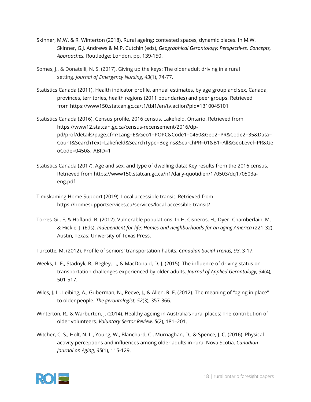- Skinner, M.W. & R. Winterton (2018). Rural ageing: contested spaces, dynamic places. In M.W. Skinner, G.J. Andrews & M.P. Cutchin (eds), *Geographical Gerontology: Perspectives, Concepts, Approaches.* Routledge: London, pp. 139-150.
- Somes, J., & Donatelli, N. S. (2017). Giving up the keys: The older adult driving in a rural setting. *Journal of Emergency Nursing*, *43*(1), 74-77.
- Statistics Canada (2011). Health indicator profile, annual estimates, by age group and sex, Canada, provinces, territories, health regions (2011 boundaries) and peer groups. Retrieved from https://www150.statcan.gc.ca/t1/tbl1/en/tv.action?pid=1310045101
- Statistics Canada (2016). Census profile, 2016 census, Lakefield, Ontario. Retrieved from https://www12.statcan.gc.ca/census-recensement/2016/dppd/prof/details/page.cfm?Lang=E&Geo1=POPC&Code1=0450&Geo2=PR&Code2=35&Data= Count&SearchText=Lakefield&SearchType=Begins&SearchPR=01&B1=All&GeoLevel=PR&Ge oCode=0450&TABID=1
- Statistics Canada (2017). Age and sex, and type of dwelling data: Key results from the 2016 census. Retrieved from https://www150.statcan.gc.ca/n1/daily-quotidien/170503/dq170503aeng.pdf
- Timiskaming Home Support (2019). Local accessible transit. Retrieved from https://homesupportservices.ca/services/local-accessible-transit/
- Torres-Gil, F. & Hofland, B. (2012). Vulnerable populations. In H. Cisneros, H., Dyer- Chamberlain, M. & Hickie, J. (Eds). *Independent for life: Homes and neighborhoods for an aging America* (221-32). Austin, Texas: University of Texas Press.
- Turcotte, M. (2012). Profile of seniors' transportation habits. *Canadian Social Trends, 93*, 3-17.
- Weeks, L. E., Stadnyk, R., Begley, L., & MacDonald, D. J. (2015). The influence of driving status on transportation challenges experienced by older adults. *Journal of Applied Gerontology*, *34*(4), 501-517.
- Wiles, J. L., Leibing, A., Guberman, N., Reeve, J., & Allen, R. E. (2012). The meaning of "aging in place" to older people. *The gerontologist*, *52*(3), 357-366.
- Winterton, R., & Warburton, J. (2014). Healthy ageing in Australia's rural places: The contribution of older volunteers. *Voluntary Sector Review, 5*(2), 181–201.
- Witcher, C. S., Holt, N. L., Young, W., Blanchard, C., Murnaghan, D., & Spence, J. C. (2016). Physical activity perceptions and influences among older adults in rural Nova Scotia. *Canadian Journal on Aging*, *35*(1), 115-129.

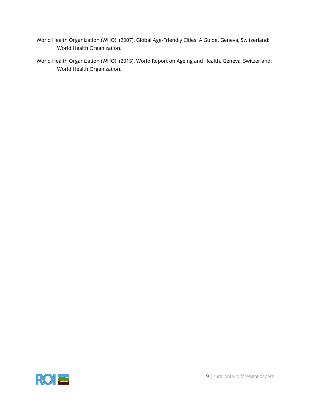- World Health Organization (WHO). (2007). Global Age-Friendly Cities: A Guide. Geneva, Switzerland: World Health Organization.
- World Health Organization (WHO). (2015). World Report on Ageing and Health. Geneva, Switzerland: World Health Organization.

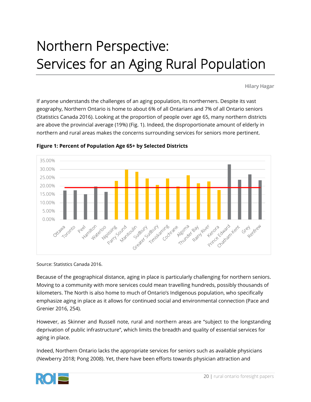# Northern Perspective: Services for an Aging Rural Population

**Hilary Hagar**

If anyone understands the challenges of an aging population, its northerners. Despite its vast geography, Northern Ontario is home to about 6% of all Ontarians and 7% of all Ontario seniors (Statistics Canada 2016). Looking at the proportion of people over age 65, many northern districts are above the provincial average (19%) (Fig. 1). Indeed, the disproportionate amount of elderly in northern and rural areas makes the concerns surrounding services for seniors more pertinent.



**Figure 1: Percent of Population Age 65+ by Selected Districts**

Source: Statistics Canada 2016.

Because of the geographical distance, aging in place is particularly challenging for northern seniors. Moving to a community with more services could mean travelling hundreds, possibly thousands of kilometers. The North is also home to much of Ontario's Indigenous population, who specifically emphasize aging in place as it allows for continued social and environmental connection (Pace and Grenier 2016, 254).

However, as Skinner and Russell note, rural and northern areas are "subject to the longstanding deprivation of public infrastructure", which limits the breadth and quality of essential services for aging in place.

Indeed, Northern Ontario lacks the appropriate services for seniors such as available physicians (Newberry 2018; Pong 2008). Yet, there have been efforts towards physician attraction and

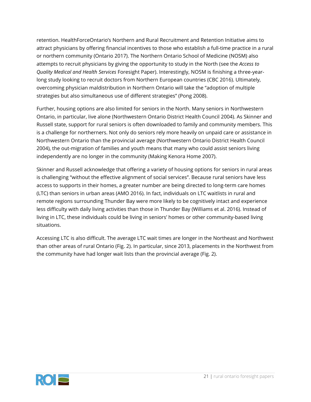retention. HealthForceOntario's Northern and Rural Recruitment and Retention Initiative aims to attract physicians by offering financial incentives to those who establish a full-time practice in a rural or northern community (Ontario 2017). The Northern Ontario School of Medicine (NOSM) also attempts to recruit physicians by giving the opportunity to study in the North (see the *Access to Quality Medical and Health Services* Foresight Paper). Interestingly, NOSM is finishing a three-yearlong study looking to recruit doctors from Northern European countries (CBC 2016). Ultimately, overcoming physician maldistribution in Northern Ontario will take the "adoption of multiple strategies but also simultaneous use of different strategies" (Pong 2008).

Further, housing options are also limited for seniors in the North. Many seniors in Northwestern Ontario, in particular, live alone (Northwestern Ontario District Health Council 2004). As Skinner and Russell state, support for rural seniors is often downloaded to family and community members. This is a challenge for northerners. Not only do seniors rely more heavily on unpaid care or assistance in Northwestern Ontario than the provincial average (Northwestern Ontario District Health Council 2004), the out-migration of families and youth means that many who could assist seniors living independently are no longer in the community (Making Kenora Home 2007).

Skinner and Russell acknowledge that offering a variety of housing options for seniors in rural areas is challenging "without the effective alignment of social services". Because rural seniors have less access to supports in their homes, a greater number are being directed to long-term care homes (LTC) than seniors in urban areas (AMO 2016). In fact, individuals on LTC waitlists in rural and remote regions surrounding Thunder Bay were more likely to be cognitively intact and experience less difficulty with daily living activities than those in Thunder Bay (Williams et al. 2016). Instead of living in LTC, these individuals could be living in seniors' homes or other community-based living situations.

Accessing LTC is also difficult. The average LTC wait times are longer in the Northeast and Northwest than other areas of rural Ontario (Fig. 2). In particular, since 2013, placements in the Northwest from the community have had longer wait lists than the provincial average (Fig. 2).

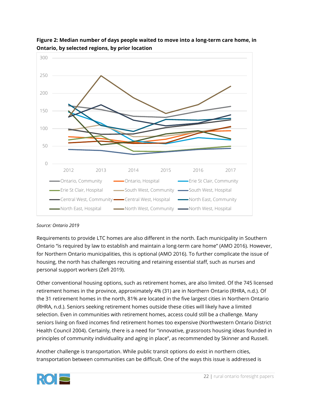



### *Source: Ontario 2019*

Requirements to provide LTC homes are also different in the north. Each municipality in Southern Ontario "is required by law to establish and maintain a long-term care home" (AMO 2016). However, for Northern Ontario municipalities, this is optional (AMO 2016). To further complicate the issue of housing, the north has challenges recruiting and retaining essential staff, such as nurses and personal support workers (Zefi 2019).

Other conventional housing options, such as retirement homes, are also limited. Of the 745 licensed retirement homes in the province, approximately 4% (31) are in Northern Ontario (RHRA, n.d.). Of the 31 retirement homes in the north, 81% are located in the five largest cities in Northern Ontario (RHRA, n.d.). Seniors seeking retirement homes outside these cities will likely have a limited selection. Even in communities with retirement homes, access could still be a challenge. Many seniors living on fixed incomes find retirement homes too expensive (Northwestern Ontario District Health Council 2004). Certainly, there is a need for "innovative, grassroots housing ideas founded in principles of community individuality and aging in place", as recommended by Skinner and Russell.

Another challenge is transportation. While public transit options do exist in northern cities, transportation between communities can be difficult. One of the ways this issue is addressed is

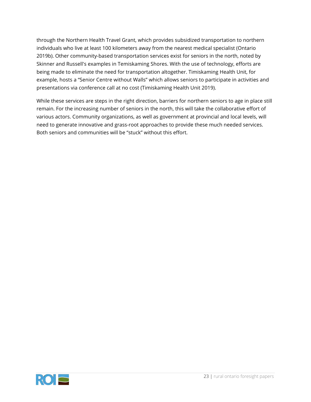through the Northern Health Travel Grant, which provides subsidized transportation to northern individuals who live at least 100 kilometers away from the nearest medical specialist (Ontario 2019b). Other community-based transportation services exist for seniors in the north, noted by Skinner and Russell's examples in Temiskaming Shores. With the use of technology, efforts are being made to eliminate the need for transportation altogether. Timiskaming Health Unit, for example, hosts a "Senior Centre without Walls" which allows seniors to participate in activities and presentations via conference call at no cost (Timiskaming Health Unit 2019).

While these services are steps in the right direction, barriers for northern seniors to age in place still remain. For the increasing number of seniors in the north, this will take the collaborative effort of various actors. Community organizations, as well as government at provincial and local levels, will need to generate innovative and grass-root approaches to provide these much needed services. Both seniors and communities will be "stuck" without this effort.

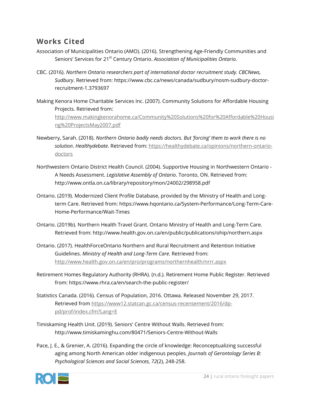## **Works Cited**

- Association of Municipalities Ontario (AMO). (2016). Strengthening Age-Friendly Communities and Seniors' Services for 21<sup>st</sup> Century Ontario. Association of Municipalities Ontario.
- CBC. (2016). *Northern Ontario researchers part of international doctor recruitment study. CBCNews, Sudbury*. Retrieved from: https://www.cbc.ca/news/canada/sudbury/nosm-sudbury-doctorrecruitment-1.3793697
- Making Kenora Home Charitable Services Inc. (2007). Community Solutions for Affordable Housing Projects. Retrieved from: [http://www.makingkenorahome.ca/Community%20Solutions%20for%20Affordable%20Housi](http://www.makingkenorahome.ca/Community%20Solutions%20for%20Affordable%20Housing%20ProjectsMay2007.pdf) [ng%20ProjectsMay2007.pdf](http://www.makingkenorahome.ca/Community%20Solutions%20for%20Affordable%20Housing%20ProjectsMay2007.pdf)
- Newberry, Sarah. (2018). *Northern Ontario badly needs doctors. But 'forcing' them to work there is no solution*. *Healthydebate*. Retrieved from[: https://healthydebate.ca/opinions/northern-ontario](https://healthydebate.ca/opinions/northern-ontario-doctors)[doctors](https://healthydebate.ca/opinions/northern-ontario-doctors)
- Northwestern Ontario District Health Council. (2004). Supportive Housing in Northwestern Ontario A Needs Assessment. *Legislative Assembly of Ontario*. Toronto, ON. Retrieved from: http://www.ontla.on.ca/library/repository/mon/24002/298958.pdf
- Ontario. (2019). Modernized Client Profile Database, provided by the Ministry of Health and Longterm Care. Retrieved from: https://www.hqontario.ca/System-Performance/Long-Term-Care-Home-Performance/Wait-Times
- Ontario. (2019b). Northern Health Travel Grant. Ontario Ministry of Health and Long-Term Care. Retrieved from: http://www.health.gov.on.ca/en/public/publications/ohip/northern.aspx
- Ontario. (2017). HealthForceOntario Northern and Rural Recruitment and Retention Initiative Guidelines. *Ministry of Health and Long-Term Care*. Retrieved from: <http://www.health.gov.on.ca/en/pro/programs/northernhealth/nrrr.aspx>
- Retirement Homes Regulatory Authority (RHRA). (n.d.). Retirement Home Public Register. Retrieved from: https://www.rhra.ca/en/search-the-public-register/
- Statistics Canada. (2016). Census of Population, 2016. Ottawa. Released November 29, 2017. Retrieved from [https://www12.statcan.gc.ca/census-recensement/2016/dp](https://www12.statcan.gc.ca/census-recensement/2016/dp-pd/prof/index.cfm?Lang=E)[pd/prof/index.cfm?Lang=E](https://www12.statcan.gc.ca/census-recensement/2016/dp-pd/prof/index.cfm?Lang=E)
- Timiskaming Health Unit. (2019). Seniors' Centre Without Walls. Retrieved from: http://www.timiskaminghu.com/80471/Seniors-Centre-Without-Walls
- Pace, J. E., & Grenier, A. (2016). Expanding the circle of knowledge: Reconceptualizing successful aging among North American older indigenous peoples*. Journals of Gerontology Series B: Psychological Sciences and Social Sciences, 72*(2), 248-258.